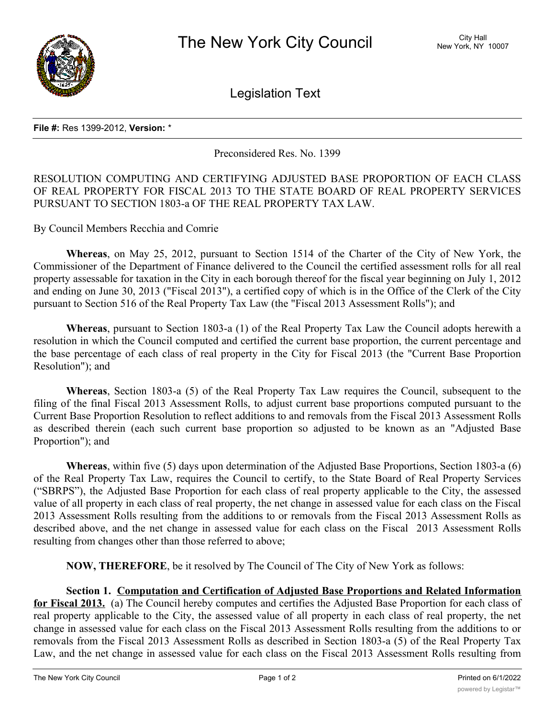

Legislation Text

## **File #:** Res 1399-2012, **Version:** \*

Preconsidered Res. No. 1399

## RESOLUTION COMPUTING AND CERTIFYING ADJUSTED BASE PROPORTION OF EACH CLASS OF REAL PROPERTY FOR FISCAL 2013 TO THE STATE BOARD OF REAL PROPERTY SERVICES PURSUANT TO SECTION 1803-a OF THE REAL PROPERTY TAX LAW.

By Council Members Recchia and Comrie

**Whereas**, on May 25, 2012, pursuant to Section 1514 of the Charter of the City of New York, the Commissioner of the Department of Finance delivered to the Council the certified assessment rolls for all real property assessable for taxation in the City in each borough thereof for the fiscal year beginning on July 1, 2012 and ending on June 30, 2013 ("Fiscal 2013"), a certified copy of which is in the Office of the Clerk of the City pursuant to Section 516 of the Real Property Tax Law (the "Fiscal 2013 Assessment Rolls"); and

**Whereas**, pursuant to Section 1803-a (1) of the Real Property Tax Law the Council adopts herewith a resolution in which the Council computed and certified the current base proportion, the current percentage and the base percentage of each class of real property in the City for Fiscal 2013 (the "Current Base Proportion Resolution"); and

**Whereas**, Section 1803-a (5) of the Real Property Tax Law requires the Council, subsequent to the filing of the final Fiscal 2013 Assessment Rolls, to adjust current base proportions computed pursuant to the Current Base Proportion Resolution to reflect additions to and removals from the Fiscal 2013 Assessment Rolls as described therein (each such current base proportion so adjusted to be known as an "Adjusted Base Proportion"); and

**Whereas**, within five (5) days upon determination of the Adjusted Base Proportions, Section 1803-a (6) of the Real Property Tax Law, requires the Council to certify, to the State Board of Real Property Services ("SBRPS"), the Adjusted Base Proportion for each class of real property applicable to the City, the assessed value of all property in each class of real property, the net change in assessed value for each class on the Fiscal 2013 Assessment Rolls resulting from the additions to or removals from the Fiscal 2013 Assessment Rolls as described above, and the net change in assessed value for each class on the Fiscal 2013 Assessment Rolls resulting from changes other than those referred to above;

**NOW, THEREFORE**, be it resolved by The Council of The City of New York as follows:

**Section 1. Computation and Certification of Adjusted Base Proportions and Related Information for Fiscal 2013.** (a) The Council hereby computes and certifies the Adjusted Base Proportion for each class of real property applicable to the City, the assessed value of all property in each class of real property, the net change in assessed value for each class on the Fiscal 2013 Assessment Rolls resulting from the additions to or removals from the Fiscal 2013 Assessment Rolls as described in Section 1803-a (5) of the Real Property Tax Law, and the net change in assessed value for each class on the Fiscal 2013 Assessment Rolls resulting from